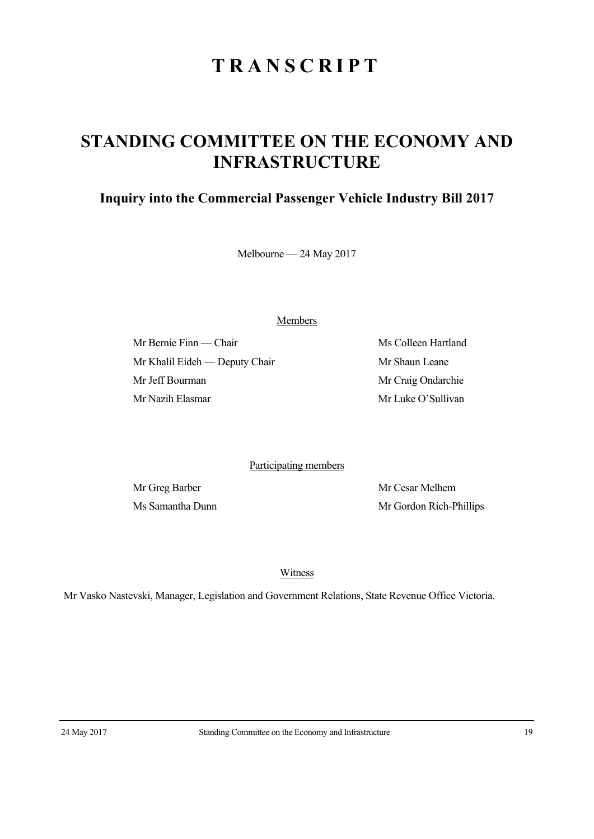## **TRANSCRIPT**

## **STANDING COMMITTEE ON THE ECONOMY AND INFRASTRUCTURE**

## **Inquiry into the Commercial Passenger Vehicle Industry Bill 2017**

Melbourne — 24 May 2017

Members

Mr Bernie Finn — Chair Ms Colleen Hartland Mr Khalil Eideh — Deputy Chair Mr Shaun Leane Mr Jeff Bourman Mr Craig Ondarchie Mr Nazih Elasmar Mr Luke O'Sullivan

Participating members

Mr Greg Barber Mr Cesar Melhem Ms Samantha Dunn Mr Gordon Rich-Phillips

Witness

Mr Vasko Nastevski, Manager, Legislation and Government Relations, State Revenue Office Victoria.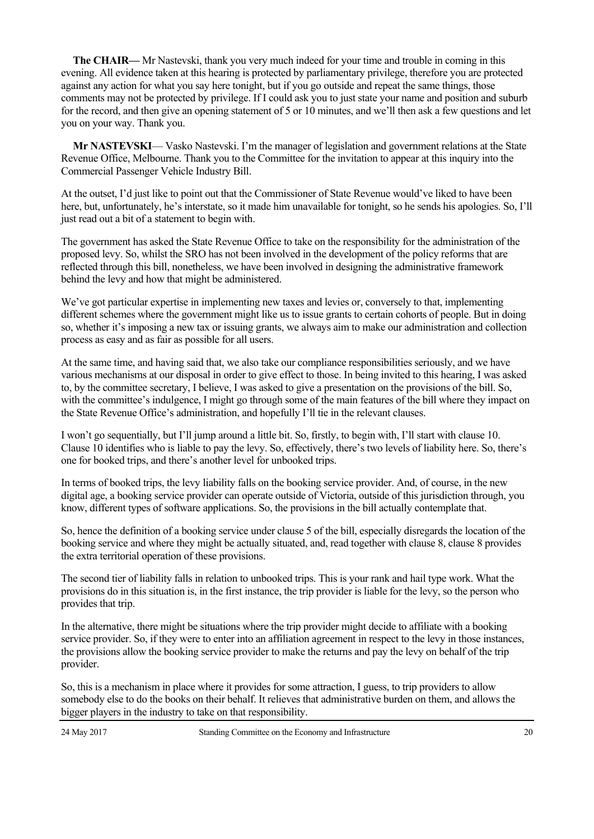**The CHAIR—** Mr Nastevski, thank you very much indeed for your time and trouble in coming in this evening. All evidence taken at this hearing is protected by parliamentary privilege, therefore you are protected against any action for what you say here tonight, but if you go outside and repeat the same things, those comments may not be protected by privilege. If I could ask you to just state your name and position and suburb for the record, and then give an opening statement of 5 or 10 minutes, and we'll then ask a few questions and let you on your way. Thank you.

**Mr NASTEVSKI**— Vasko Nastevski. I'm the manager of legislation and government relations at the State Revenue Office, Melbourne. Thank you to the Committee for the invitation to appear at this inquiry into the Commercial Passenger Vehicle Industry Bill.

At the outset, I'd just like to point out that the Commissioner of State Revenue would've liked to have been here, but, unfortunately, he's interstate, so it made him unavailable for tonight, so he sends his apologies. So, I'll just read out a bit of a statement to begin with.

The government has asked the State Revenue Office to take on the responsibility for the administration of the proposed levy. So, whilst the SRO has not been involved in the development of the policy reforms that are reflected through this bill, nonetheless, we have been involved in designing the administrative framework behind the levy and how that might be administered.

We've got particular expertise in implementing new taxes and levies or, conversely to that, implementing different schemes where the government might like us to issue grants to certain cohorts of people. But in doing so, whether it's imposing a new tax or issuing grants, we always aim to make our administration and collection process as easy and as fair as possible for all users.

At the same time, and having said that, we also take our compliance responsibilities seriously, and we have various mechanisms at our disposal in order to give effect to those. In being invited to this hearing, I was asked to, by the committee secretary, I believe, I was asked to give a presentation on the provisions of the bill. So, with the committee's indulgence, I might go through some of the main features of the bill where they impact on the State Revenue Office's administration, and hopefully I'll tie in the relevant clauses.

I won't go sequentially, but I'll jump around a little bit. So, firstly, to begin with, I'll start with clause 10. Clause 10 identifies who is liable to pay the levy. So, effectively, there's two levels of liability here. So, there's one for booked trips, and there's another level for unbooked trips.

In terms of booked trips, the levy liability falls on the booking service provider. And, of course, in the new digital age, a booking service provider can operate outside of Victoria, outside of this jurisdiction through, you know, different types of software applications. So, the provisions in the bill actually contemplate that.

So, hence the definition of a booking service under clause 5 of the bill, especially disregards the location of the booking service and where they might be actually situated, and, read together with clause 8, clause 8 provides the extra territorial operation of these provisions.

The second tier of liability falls in relation to unbooked trips. This is your rank and hail type work. What the provisions do in this situation is, in the first instance, the trip provider is liable for the levy, so the person who provides that trip.

In the alternative, there might be situations where the trip provider might decide to affiliate with a booking service provider. So, if they were to enter into an affiliation agreement in respect to the levy in those instances, the provisions allow the booking service provider to make the returns and pay the levy on behalf of the trip provider.

So, this is a mechanism in place where it provides for some attraction, I guess, to trip providers to allow somebody else to do the books on their behalf. It relieves that administrative burden on them, and allows the bigger players in the industry to take on that responsibility.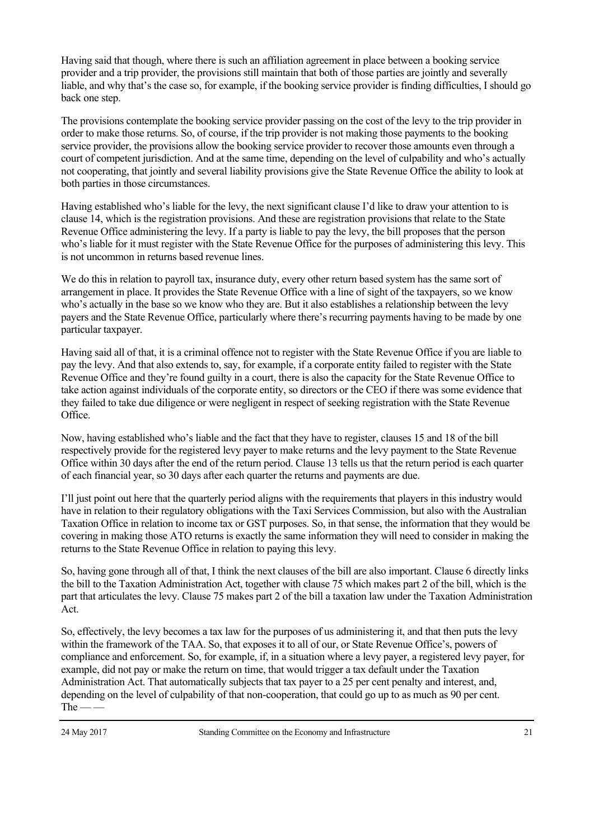Having said that though, where there is such an affiliation agreement in place between a booking service provider and a trip provider, the provisions still maintain that both of those parties are jointly and severally liable, and why that's the case so, for example, if the booking service provider is finding difficulties, I should go back one step.

The provisions contemplate the booking service provider passing on the cost of the levy to the trip provider in order to make those returns. So, of course, if the trip provider is not making those payments to the booking service provider, the provisions allow the booking service provider to recover those amounts even through a court of competent jurisdiction. And at the same time, depending on the level of culpability and who's actually not cooperating, that jointly and several liability provisions give the State Revenue Office the ability to look at both parties in those circumstances.

Having established who's liable for the levy, the next significant clause I'd like to draw your attention to is clause 14, which is the registration provisions. And these are registration provisions that relate to the State Revenue Office administering the levy. If a party is liable to pay the levy, the bill proposes that the person who's liable for it must register with the State Revenue Office for the purposes of administering this levy. This is not uncommon in returns based revenue lines.

We do this in relation to payroll tax, insurance duty, every other return based system has the same sort of arrangement in place. It provides the State Revenue Office with a line of sight of the taxpayers, so we know who's actually in the base so we know who they are. But it also establishes a relationship between the levy payers and the State Revenue Office, particularly where there's recurring payments having to be made by one particular taxpayer.

Having said all of that, it is a criminal offence not to register with the State Revenue Office if you are liable to pay the levy. And that also extends to, say, for example, if a corporate entity failed to register with the State Revenue Office and they're found guilty in a court, there is also the capacity for the State Revenue Office to take action against individuals of the corporate entity, so directors or the CEO if there was some evidence that they failed to take due diligence or were negligent in respect of seeking registration with the State Revenue Office.

Now, having established who's liable and the fact that they have to register, clauses 15 and 18 of the bill respectively provide for the registered levy payer to make returns and the levy payment to the State Revenue Office within 30 days after the end of the return period. Clause 13 tells us that the return period is each quarter of each financial year, so 30 days after each quarter the returns and payments are due.

I'll just point out here that the quarterly period aligns with the requirements that players in this industry would have in relation to their regulatory obligations with the Taxi Services Commission, but also with the Australian Taxation Office in relation to income tax or GST purposes. So, in that sense, the information that they would be covering in making those ATO returns is exactly the same information they will need to consider in making the returns to the State Revenue Office in relation to paying this levy.

So, having gone through all of that, I think the next clauses of the bill are also important. Clause 6 directly links the bill to the Taxation Administration Act, together with clause 75 which makes part 2 of the bill, which is the part that articulates the levy. Clause 75 makes part 2 of the bill a taxation law under the Taxation Administration Act.

So, effectively, the levy becomes a tax law for the purposes of us administering it, and that then puts the levy within the framework of the TAA. So, that exposes it to all of our, or State Revenue Office's, powers of compliance and enforcement. So, for example, if, in a situation where a levy payer, a registered levy payer, for example, did not pay or make the return on time, that would trigger a tax default under the Taxation Administration Act. That automatically subjects that tax payer to a 25 per cent penalty and interest, and, depending on the level of culpability of that non-cooperation, that could go up to as much as 90 per cent.  $The - -$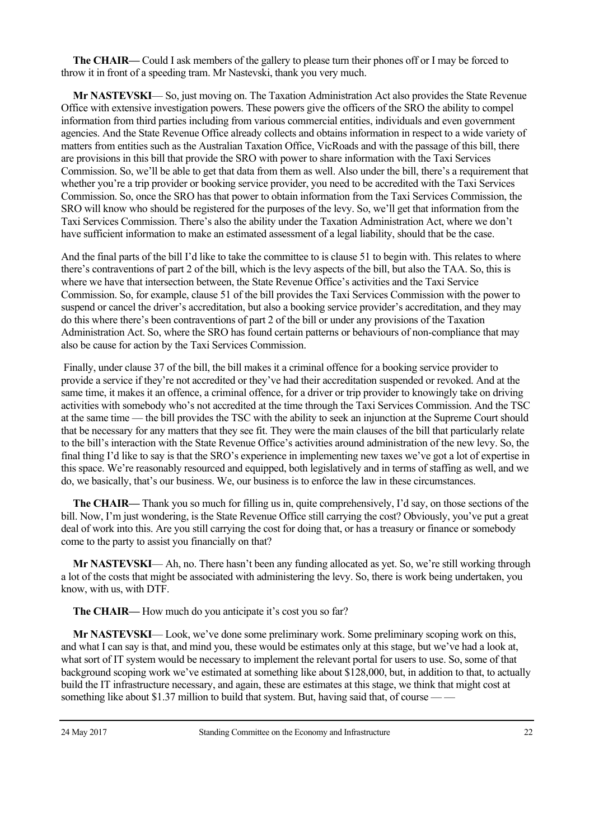**The CHAIR—** Could I ask members of the gallery to please turn their phones off or I may be forced to throw it in front of a speeding tram. Mr Nastevski, thank you very much.

**Mr NASTEVSKI**— So, just moving on. The Taxation Administration Act also provides the State Revenue Office with extensive investigation powers. These powers give the officers of the SRO the ability to compel information from third parties including from various commercial entities, individuals and even government agencies. And the State Revenue Office already collects and obtains information in respect to a wide variety of matters from entities such as the Australian Taxation Office, VicRoads and with the passage of this bill, there are provisions in this bill that provide the SRO with power to share information with the Taxi Services Commission. So, we'll be able to get that data from them as well. Also under the bill, there's a requirement that whether you're a trip provider or booking service provider, you need to be accredited with the Taxi Services Commission. So, once the SRO has that power to obtain information from the Taxi Services Commission, the SRO will know who should be registered for the purposes of the levy. So, we'll get that information from the Taxi Services Commission. There's also the ability under the Taxation Administration Act, where we don't have sufficient information to make an estimated assessment of a legal liability, should that be the case.

And the final parts of the bill I'd like to take the committee to is clause 51 to begin with. This relates to where there's contraventions of part 2 of the bill, which is the levy aspects of the bill, but also the TAA. So, this is where we have that intersection between, the State Revenue Office's activities and the Taxi Service Commission. So, for example, clause 51 of the bill provides the Taxi Services Commission with the power to suspend or cancel the driver's accreditation, but also a booking service provider's accreditation, and they may do this where there's been contraventions of part 2 of the bill or under any provisions of the Taxation Administration Act. So, where the SRO has found certain patterns or behaviours of non-compliance that may also be cause for action by the Taxi Services Commission.

 Finally, under clause 37 of the bill, the bill makes it a criminal offence for a booking service provider to provide a service if they're not accredited or they've had their accreditation suspended or revoked. And at the same time, it makes it an offence, a criminal offence, for a driver or trip provider to knowingly take on driving activities with somebody who's not accredited at the time through the Taxi Services Commission. And the TSC at the same time — the bill provides the TSC with the ability to seek an injunction at the Supreme Court should that be necessary for any matters that they see fit. They were the main clauses of the bill that particularly relate to the bill's interaction with the State Revenue Office's activities around administration of the new levy. So, the final thing I'd like to say is that the SRO's experience in implementing new taxes we've got a lot of expertise in this space. We're reasonably resourced and equipped, both legislatively and in terms of staffing as well, and we do, we basically, that's our business. We, our business is to enforce the law in these circumstances.

**The CHAIR—** Thank you so much for filling us in, quite comprehensively, I'd say, on those sections of the bill. Now, I'm just wondering, is the State Revenue Office still carrying the cost? Obviously, you've put a great deal of work into this. Are you still carrying the cost for doing that, or has a treasury or finance or somebody come to the party to assist you financially on that?

**Mr NASTEVSKI**— Ah, no. There hasn't been any funding allocated as yet. So, we're still working through a lot of the costs that might be associated with administering the levy. So, there is work being undertaken, you know, with us, with DTF.

The CHAIR— How much do you anticipate it's cost you so far?

**Mr NASTEVSKI**— Look, we've done some preliminary work. Some preliminary scoping work on this, and what I can say is that, and mind you, these would be estimates only at this stage, but we've had a look at, what sort of IT system would be necessary to implement the relevant portal for users to use. So, some of that background scoping work we've estimated at something like about \$128,000, but, in addition to that, to actually build the IT infrastructure necessary, and again, these are estimates at this stage, we think that might cost at something like about  $$1.37$  million to build that system. But, having said that, of course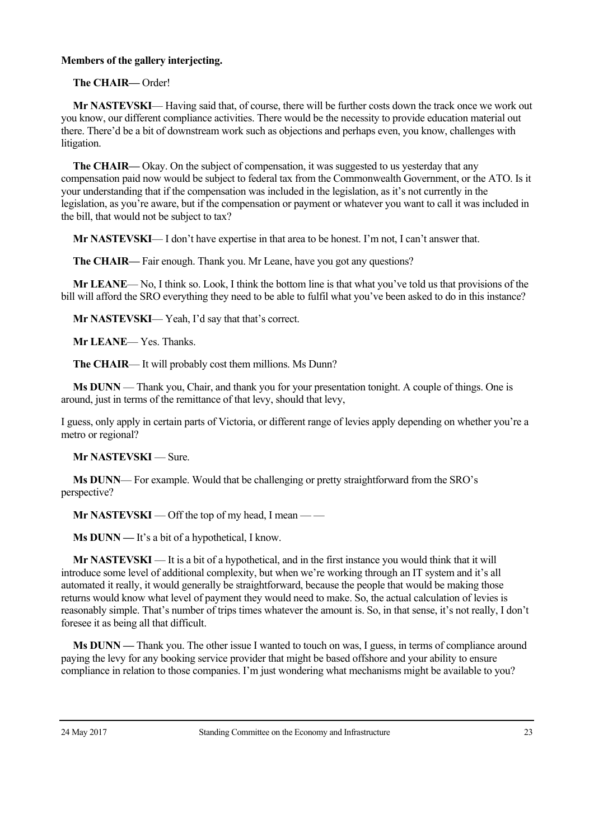## **Members of the gallery interjecting.**

**The CHAIR—** Order!

**Mr NASTEVSKI**— Having said that, of course, there will be further costs down the track once we work out you know, our different compliance activities. There would be the necessity to provide education material out there. There'd be a bit of downstream work such as objections and perhaps even, you know, challenges with litigation.

**The CHAIR—** Okay. On the subject of compensation, it was suggested to us yesterday that any compensation paid now would be subject to federal tax from the Commonwealth Government, or the ATO. Is it your understanding that if the compensation was included in the legislation, as it's not currently in the legislation, as you're aware, but if the compensation or payment or whatever you want to call it was included in the bill, that would not be subject to tax?

**Mr NASTEVSKI**— I don't have expertise in that area to be honest. I'm not, I can't answer that.

**The CHAIR—** Fair enough. Thank you. Mr Leane, have you got any questions?

**Mr LEANE**— No, I think so. Look, I think the bottom line is that what you've told us that provisions of the bill will afford the SRO everything they need to be able to fulfil what you've been asked to do in this instance?

**Mr NASTEVSKI**— Yeah, I'd say that that's correct.

**Mr LEANE**— Yes. Thanks.

**The CHAIR**— It will probably cost them millions. Ms Dunn?

**Ms DUNN** — Thank you, Chair, and thank you for your presentation tonight. A couple of things. One is around, just in terms of the remittance of that levy, should that levy,

I guess, only apply in certain parts of Victoria, or different range of levies apply depending on whether you're a metro or regional?

**Mr NASTEVSKI** — Sure.

**Ms DUNN**— For example. Would that be challenging or pretty straightforward from the SRO's perspective?

**Mr NASTEVSKI** — Off the top of my head, I mean — —

**Ms DUNN —** It's a bit of a hypothetical, I know.

**Mr NASTEVSKI** — It is a bit of a hypothetical, and in the first instance you would think that it will introduce some level of additional complexity, but when we're working through an IT system and it's all automated it really, it would generally be straightforward, because the people that would be making those returns would know what level of payment they would need to make. So, the actual calculation of levies is reasonably simple. That's number of trips times whatever the amount is. So, in that sense, it's not really, I don't foresee it as being all that difficult.

**Ms DUNN —** Thank you. The other issue I wanted to touch on was, I guess, in terms of compliance around paying the levy for any booking service provider that might be based offshore and your ability to ensure compliance in relation to those companies. I'm just wondering what mechanisms might be available to you?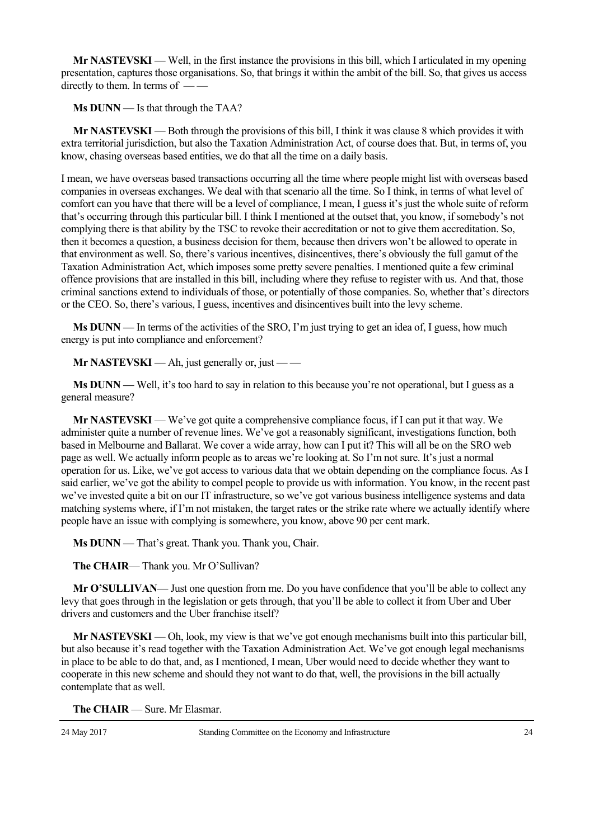**Mr NASTEVSKI** — Well, in the first instance the provisions in this bill, which I articulated in my opening presentation, captures those organisations. So, that brings it within the ambit of the bill. So, that gives us access directly to them. In terms of — —

**Ms DUNN —** Is that through the TAA?

**Mr NASTEVSKI** — Both through the provisions of this bill, I think it was clause 8 which provides it with extra territorial jurisdiction, but also the Taxation Administration Act, of course does that. But, in terms of, you know, chasing overseas based entities, we do that all the time on a daily basis.

I mean, we have overseas based transactions occurring all the time where people might list with overseas based companies in overseas exchanges. We deal with that scenario all the time. So I think, in terms of what level of comfort can you have that there will be a level of compliance, I mean, I guess it's just the whole suite of reform that's occurring through this particular bill. I think I mentioned at the outset that, you know, if somebody's not complying there is that ability by the TSC to revoke their accreditation or not to give them accreditation. So, then it becomes a question, a business decision for them, because then drivers won't be allowed to operate in that environment as well. So, there's various incentives, disincentives, there's obviously the full gamut of the Taxation Administration Act, which imposes some pretty severe penalties. I mentioned quite a few criminal offence provisions that are installed in this bill, including where they refuse to register with us. And that, those criminal sanctions extend to individuals of those, or potentially of those companies. So, whether that's directors or the CEO. So, there's various, I guess, incentives and disincentives built into the levy scheme.

**Ms DUNN —** In terms of the activities of the SRO, I'm just trying to get an idea of, I guess, how much energy is put into compliance and enforcement?

**Mr NASTEVSKI** — Ah, just generally or, just — —

**Ms DUNN** — Well, it's too hard to say in relation to this because you're not operational, but I guess as a general measure?

**Mr NASTEVSKI** — We've got quite a comprehensive compliance focus, if I can put it that way. We administer quite a number of revenue lines. We've got a reasonably significant, investigations function, both based in Melbourne and Ballarat. We cover a wide array, how can I put it? This will all be on the SRO web page as well. We actually inform people as to areas we're looking at. So I'm not sure. It's just a normal operation for us. Like, we've got access to various data that we obtain depending on the compliance focus. As I said earlier, we've got the ability to compel people to provide us with information. You know, in the recent past we've invested quite a bit on our IT infrastructure, so we've got various business intelligence systems and data matching systems where, if I'm not mistaken, the target rates or the strike rate where we actually identify where people have an issue with complying is somewhere, you know, above 90 per cent mark.

**Ms DUNN —** That's great. Thank you. Thank you, Chair.

**The CHAIR**— Thank you. Mr O'Sullivan?

**Mr O'SULLIVAN**— Just one question from me. Do you have confidence that you'll be able to collect any levy that goes through in the legislation or gets through, that you'll be able to collect it from Uber and Uber drivers and customers and the Uber franchise itself?

**Mr NASTEVSKI** — Oh, look, my view is that we've got enough mechanisms built into this particular bill, but also because it's read together with the Taxation Administration Act. We've got enough legal mechanisms in place to be able to do that, and, as I mentioned, I mean, Uber would need to decide whether they want to cooperate in this new scheme and should they not want to do that, well, the provisions in the bill actually contemplate that as well.

**The CHAIR** — Sure. Mr Elasmar.